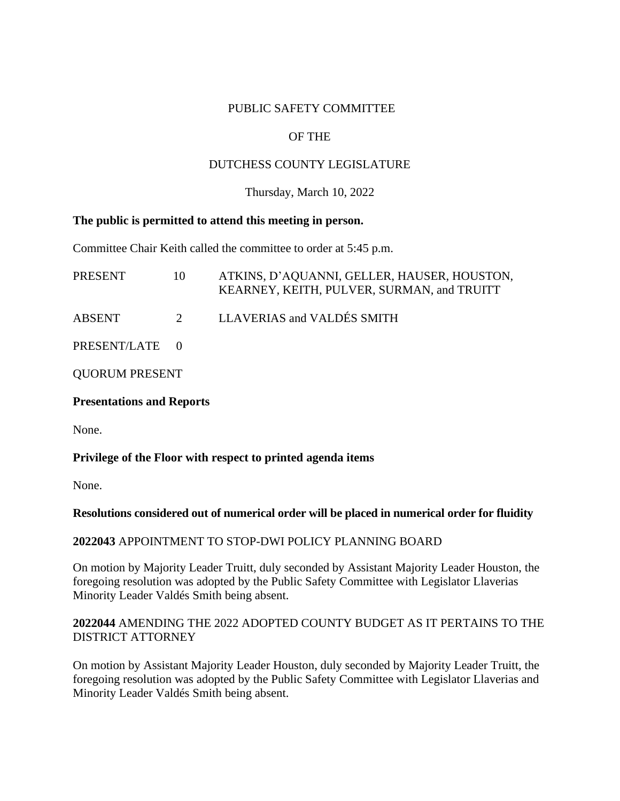## PUBLIC SAFETY COMMITTEE

# OF THE

## DUTCHESS COUNTY LEGISLATURE

### Thursday, March 10, 2022

#### **The public is permitted to attend this meeting in person.**

Committee Chair Keith called the committee to order at 5:45 p.m.

| PRESENT               | 10 | ATKINS, D'AQUANNI, GELLER, HAUSER, HOUSTON,<br>KEARNEY, KEITH, PULVER, SURMAN, and TRUITT |
|-----------------------|----|-------------------------------------------------------------------------------------------|
| <b>ABSENT</b>         | 2  | LLAVERIAS and VALDÉS SMITH                                                                |
| PRESENT/LATE 0        |    |                                                                                           |
| <b>QUORUM PRESENT</b> |    |                                                                                           |

#### **Presentations and Reports**

None.

#### **Privilege of the Floor with respect to printed agenda items**

None.

#### **Resolutions considered out of numerical order will be placed in numerical order for fluidity**

#### **2022043** APPOINTMENT TO STOP-DWI POLICY PLANNING BOARD

On motion by Majority Leader Truitt, duly seconded by Assistant Majority Leader Houston, the foregoing resolution was adopted by the Public Safety Committee with Legislator Llaverias Minority Leader Valdés Smith being absent.

## **2022044** AMENDING THE 2022 ADOPTED COUNTY BUDGET AS IT PERTAINS TO THE DISTRICT ATTORNEY

On motion by Assistant Majority Leader Houston, duly seconded by Majority Leader Truitt, the foregoing resolution was adopted by the Public Safety Committee with Legislator Llaverias and Minority Leader Valdés Smith being absent.